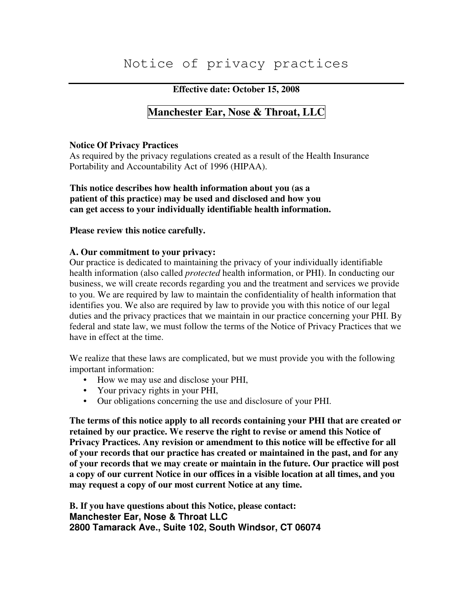# Notice of privacy practices

# **Effective date: October 15, 2008**

# **Manchester Ear, Nose & Throat, LLC**

#### **Notice Of Privacy Practices**

As required by the privacy regulations created as a result of the Health Insurance Portability and Accountability Act of 1996 (HIPAA).

## **This notice describes how health information about you (as a patient of this practice) may be used and disclosed and how you can get access to your individually identifiable health information.**

#### **Please review this notice carefully.**

#### **A. Our commitment to your privacy:**

Our practice is dedicated to maintaining the privacy of your individually identifiable health information (also called *protected* health information, or PHI). In conducting our business, we will create records regarding you and the treatment and services we provide to you. We are required by law to maintain the confidentiality of health information that identifies you. We also are required by law to provide you with this notice of our legal duties and the privacy practices that we maintain in our practice concerning your PHI. By federal and state law, we must follow the terms of the Notice of Privacy Practices that we have in effect at the time.

We realize that these laws are complicated, but we must provide you with the following important information:

- How we may use and disclose your PHI,
- Your privacy rights in your PHI,
- Our obligations concerning the use and disclosure of your PHI.

**The terms of this notice apply to all records containing your PHI that are created or retained by our practice. We reserve the right to revise or amend this Notice of Privacy Practices. Any revision or amendment to this notice will be effective for all of your records that our practice has created or maintained in the past, and for any of your records that we may create or maintain in the future. Our practice will post a copy of our current Notice in our offices in a visible location at all times, and you may request a copy of our most current Notice at any time.**

**B. If you have questions about this Notice, please contact: Manchester Ear, Nose & Throat LLC 2800 Tamarack Ave., Suite 102, South Windsor, CT 06074**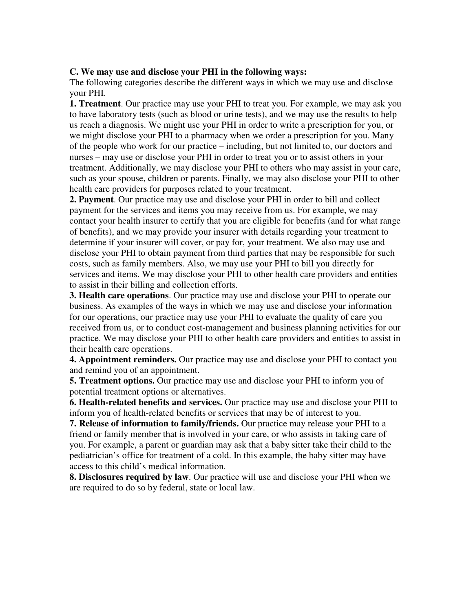#### **C. We may use and disclose your PHI in the following ways:**

The following categories describe the different ways in which we may use and disclose your PHI.

**1. Treatment**. Our practice may use your PHI to treat you. For example, we may ask you to have laboratory tests (such as blood or urine tests), and we may use the results to help us reach a diagnosis. We might use your PHI in order to write a prescription for you, or we might disclose your PHI to a pharmacy when we order a prescription for you. Many of the people who work for our practice – including, but not limited to, our doctors and nurses – may use or disclose your PHI in order to treat you or to assist others in your treatment. Additionally, we may disclose your PHI to others who may assist in your care, such as your spouse, children or parents. Finally, we may also disclose your PHI to other health care providers for purposes related to your treatment.

**2. Payment**. Our practice may use and disclose your PHI in order to bill and collect payment for the services and items you may receive from us. For example, we may contact your health insurer to certify that you are eligible for benefits (and for what range of benefits), and we may provide your insurer with details regarding your treatment to determine if your insurer will cover, or pay for, your treatment. We also may use and disclose your PHI to obtain payment from third parties that may be responsible for such costs, such as family members. Also, we may use your PHI to bill you directly for services and items. We may disclose your PHI to other health care providers and entities to assist in their billing and collection efforts.

**3. Health care operations**. Our practice may use and disclose your PHI to operate our business. As examples of the ways in which we may use and disclose your information for our operations, our practice may use your PHI to evaluate the quality of care you received from us, or to conduct cost-management and business planning activities for our practice. We may disclose your PHI to other health care providers and entities to assist in their health care operations.

**4. Appointment reminders.** Our practice may use and disclose your PHI to contact you and remind you of an appointment.

**5. Treatment options.** Our practice may use and disclose your PHI to inform you of potential treatment options or alternatives.

**6. Health-related benefits and services.** Our practice may use and disclose your PHI to inform you of health-related benefits or services that may be of interest to you.

**7. Release of information to family/friends.** Our practice may release your PHI to a friend or family member that is involved in your care, or who assists in taking care of you. For example, a parent or guardian may ask that a baby sitter take their child to the pediatrician's office for treatment of a cold. In this example, the baby sitter may have access to this child's medical information.

**8. Disclosures required by law**. Our practice will use and disclose your PHI when we are required to do so by federal, state or local law.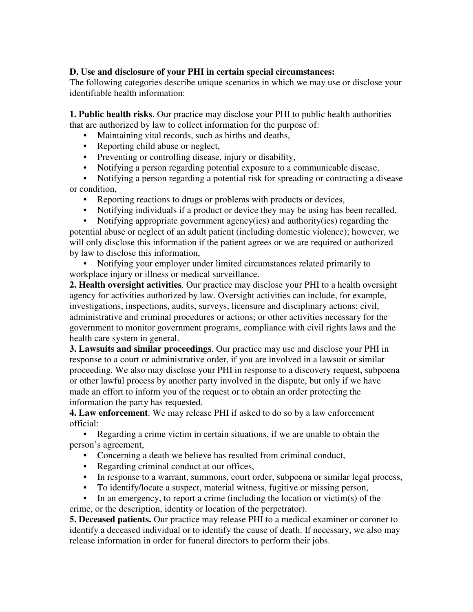# **D. Use and disclosure of your PHI in certain special circumstances:**

The following categories describe unique scenarios in which we may use or disclose your identifiable health information:

**1. Public health risks**. Our practice may disclose your PHI to public health authorities that are authorized by law to collect information for the purpose of:

- Maintaining vital records, such as births and deaths,
- Reporting child abuse or neglect,
- Preventing or controlling disease, injury or disability,
- Notifying a person regarding potential exposure to a communicable disease,

• Notifying a person regarding a potential risk for spreading or contracting a disease or condition,

- Reporting reactions to drugs or problems with products or devices,
- Notifying individuals if a product or device they may be using has been recalled,

• Notifying appropriate government agency(ies) and authority(ies) regarding the potential abuse or neglect of an adult patient (including domestic violence); however, we will only disclose this information if the patient agrees or we are required or authorized by law to disclose this information,

• Notifying your employer under limited circumstances related primarily to workplace injury or illness or medical surveillance.

**2. Health oversight activities**. Our practice may disclose your PHI to a health oversight agency for activities authorized by law. Oversight activities can include, for example, investigations, inspections, audits, surveys, licensure and disciplinary actions; civil, administrative and criminal procedures or actions; or other activities necessary for the government to monitor government programs, compliance with civil rights laws and the health care system in general.

**3. Lawsuits and similar proceedings**. Our practice may use and disclose your PHI in response to a court or administrative order, if you are involved in a lawsuit or similar proceeding. We also may disclose your PHI in response to a discovery request, subpoena or other lawful process by another party involved in the dispute, but only if we have made an effort to inform you of the request or to obtain an order protecting the information the party has requested.

**4. Law enforcement**. We may release PHI if asked to do so by a law enforcement official:

• Regarding a crime victim in certain situations, if we are unable to obtain the person's agreement,

- Concerning a death we believe has resulted from criminal conduct,
- Regarding criminal conduct at our offices,
- In response to a warrant, summons, court order, subpoena or similar legal process,
- To identify/locate a suspect, material witness, fugitive or missing person,
- In an emergency, to report a crime (including the location or victim(s) of the

crime, or the description, identity or location of the perpetrator).

**5. Deceased patients.** Our practice may release PHI to a medical examiner or coroner to identify a deceased individual or to identify the cause of death. If necessary, we also may release information in order for funeral directors to perform their jobs.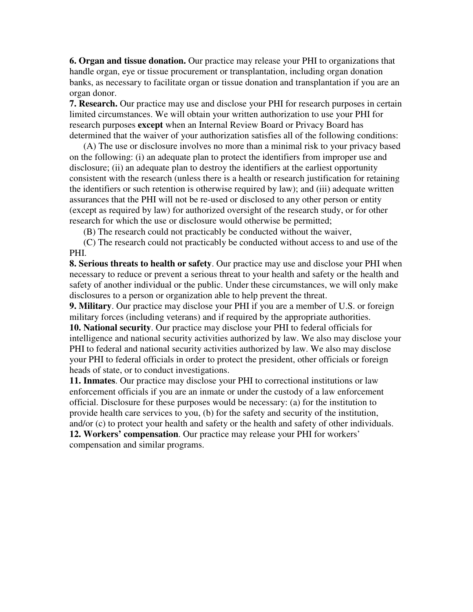**6. Organ and tissue donation.** Our practice may release your PHI to organizations that handle organ, eye or tissue procurement or transplantation, including organ donation banks, as necessary to facilitate organ or tissue donation and transplantation if you are an organ donor.

**7. Research.** Our practice may use and disclose your PHI for research purposes in certain limited circumstances. We will obtain your written authorization to use your PHI for research purposes **except** when an Internal Review Board or Privacy Board has determined that the waiver of your authorization satisfies all of the following conditions:

(A) The use or disclosure involves no more than a minimal risk to your privacy based on the following: (i) an adequate plan to protect the identifiers from improper use and disclosure; (ii) an adequate plan to destroy the identifiers at the earliest opportunity consistent with the research (unless there is a health or research justification for retaining the identifiers or such retention is otherwise required by law); and (iii) adequate written assurances that the PHI will not be re-used or disclosed to any other person or entity (except as required by law) for authorized oversight of the research study, or for other research for which the use or disclosure would otherwise be permitted;

(B) The research could not practicably be conducted without the waiver,

(C) The research could not practicably be conducted without access to and use of the PHI.

**8. Serious threats to health or safety**. Our practice may use and disclose your PHI when necessary to reduce or prevent a serious threat to your health and safety or the health and safety of another individual or the public. Under these circumstances, we will only make disclosures to a person or organization able to help prevent the threat.

**9. Military**. Our practice may disclose your PHI if you are a member of U.S. or foreign military forces (including veterans) and if required by the appropriate authorities. **10. National security**. Our practice may disclose your PHI to federal officials for intelligence and national security activities authorized by law. We also may disclose your PHI to federal and national security activities authorized by law. We also may disclose your PHI to federal officials in order to protect the president, other officials or foreign heads of state, or to conduct investigations.

**11. Inmates**. Our practice may disclose your PHI to correctional institutions or law enforcement officials if you are an inmate or under the custody of a law enforcement official. Disclosure for these purposes would be necessary: (a) for the institution to provide health care services to you, (b) for the safety and security of the institution, and/or (c) to protect your health and safety or the health and safety of other individuals. **12. Workers' compensation**. Our practice may release your PHI for workers' compensation and similar programs.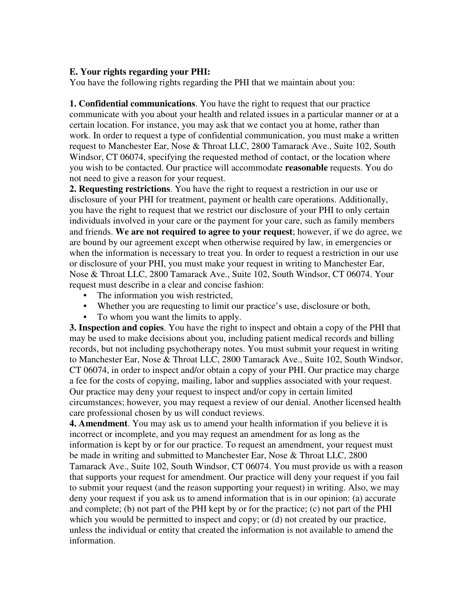# **E. Your rights regarding your PHI:**

You have the following rights regarding the PHI that we maintain about you:

**1. Confidential communications**. You have the right to request that our practice communicate with you about your health and related issues in a particular manner or at a certain location. For instance, you may ask that we contact you at home, rather than work. In order to request a type of confidential communication, you must make a written request to Manchester Ear, Nose & Throat LLC, 2800 Tamarack Ave., Suite 102, South Windsor, CT 06074, specifying the requested method of contact, or the location where you wish to be contacted. Our practice will accommodate **reasonable** requests. You do not need to give a reason for your request.

**2. Requesting restrictions**. You have the right to request a restriction in our use or disclosure of your PHI for treatment, payment or health care operations. Additionally, you have the right to request that we restrict our disclosure of your PHI to only certain individuals involved in your care or the payment for your care, such as family members and friends. **We are not required to agree to your request**; however, if we do agree, we are bound by our agreement except when otherwise required by law, in emergencies or when the information is necessary to treat you. In order to request a restriction in our use or disclosure of your PHI, you must make your request in writing to Manchester Ear, Nose & Throat LLC, 2800 Tamarack Ave., Suite 102, South Windsor, CT 06074. Your request must describe in a clear and concise fashion:

- The information you wish restricted,
- Whether you are requesting to limit our practice's use, disclosure or both,
- To whom you want the limits to apply.

**3. Inspection and copies**. You have the right to inspect and obtain a copy of the PHI that may be used to make decisions about you, including patient medical records and billing records, but not including psychotherapy notes. You must submit your request in writing to Manchester Ear, Nose & Throat LLC, 2800 Tamarack Ave., Suite 102, South Windsor, CT 06074, in order to inspect and/or obtain a copy of your PHI. Our practice may charge a fee for the costs of copying, mailing, labor and supplies associated with your request. Our practice may deny your request to inspect and/or copy in certain limited circumstances; however, you may request a review of our denial. Another licensed health care professional chosen by us will conduct reviews.

**4. Amendment**. You may ask us to amend your health information if you believe it is incorrect or incomplete, and you may request an amendment for as long as the information is kept by or for our practice. To request an amendment, your request must be made in writing and submitted to Manchester Ear, Nose & Throat LLC, 2800 Tamarack Ave., Suite 102, South Windsor, CT 06074. You must provide us with a reason that supports your request for amendment. Our practice will deny your request if you fail to submit your request (and the reason supporting your request) in writing. Also, we may deny your request if you ask us to amend information that is in our opinion: (a) accurate and complete; (b) not part of the PHI kept by or for the practice; (c) not part of the PHI which you would be permitted to inspect and copy; or (d) not created by our practice, unless the individual or entity that created the information is not available to amend the information.